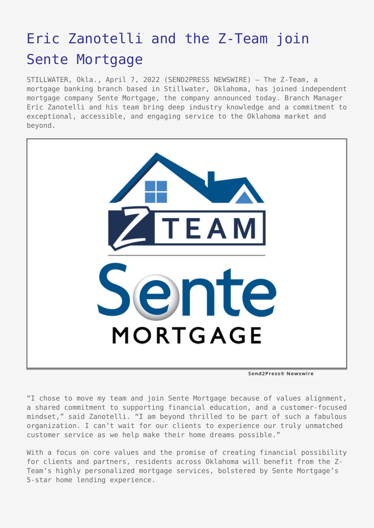## [Eric Zanotelli and the Z-Team join](https://www.send2press.com/wire/eric-zanotelli-and-the-z-team-join-sente-mortgage/) [Sente Mortgage](https://www.send2press.com/wire/eric-zanotelli-and-the-z-team-join-sente-mortgage/)

STILLWATER, Okla., April 7, 2022 (SEND2PRESS NEWSWIRE) — The Z-Team, a mortgage banking branch based in Stillwater, Oklahoma, has joined independent mortgage company Sente Mortgage, the company announced today. Branch Manager Eric Zanotelli and his team bring deep industry knowledge and a commitment to exceptional, accessible, and engaging service to the Oklahoma market and beyond.



Send2Press® Newswire

"I chose to move my team and join Sente Mortgage because of values alignment, a shared commitment to supporting financial education, and a customer-focused mindset," said Zanotelli. "I am beyond thrilled to be part of such a fabulous organization. I can't wait for our clients to experience our truly unmatched customer service as we help make their home dreams possible."

With a focus on core values and the promise of creating financial possibility for clients and partners, residents across Oklahoma will benefit from the Z-Team's highly personalized mortgage services, bolstered by Sente Mortgage's 5-star home lending experience.